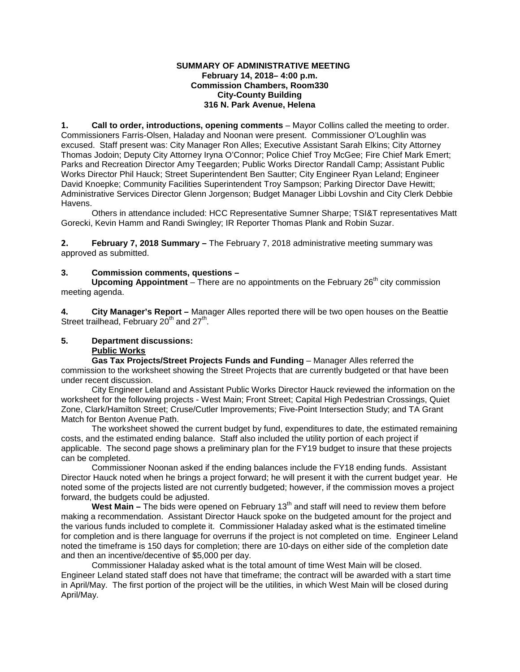#### **SUMMARY OF ADMINISTRATIVE MEETING February 14, 2018– 4:00 p.m. Commission Chambers, Room330 City-County Building 316 N. Park Avenue, Helena**

**1. Call to order, introductions, opening comments** – Mayor Collins called the meeting to order. Commissioners Farris-Olsen, Haladay and Noonan were present. Commissioner O'Loughlin was excused. Staff present was: City Manager Ron Alles; Executive Assistant Sarah Elkins; City Attorney Thomas Jodoin; Deputy City Attorney Iryna O'Connor; Police Chief Troy McGee; Fire Chief Mark Emert; Parks and Recreation Director Amy Teegarden; Public Works Director Randall Camp; Assistant Public Works Director Phil Hauck; Street Superintendent Ben Sautter; City Engineer Ryan Leland; Engineer David Knoepke; Community Facilities Superintendent Troy Sampson; Parking Director Dave Hewitt; Administrative Services Director Glenn Jorgenson; Budget Manager Libbi Lovshin and City Clerk Debbie Havens.

Others in attendance included: HCC Representative Sumner Sharpe; TSI&T representatives Matt Gorecki, Kevin Hamm and Randi Swingley; IR Reporter Thomas Plank and Robin Suzar.

**2. February 7, 2018 Summary –** The February 7, 2018 administrative meeting summary was approved as submitted.

# **3. Commission comments, questions –**

**Upcoming Appointment** – There are no appointments on the February 26<sup>th</sup> city commission meeting agenda.

**4. City Manager's Report –** Manager Alles reported there will be two open houses on the Beattie Street trailhead, February  $20<sup>th</sup>$  and  $27<sup>th</sup>$ .

# **5. Department discussions:**

# **Public Works**

**Gas Tax Projects/Street Projects Funds and Funding** – Manager Alles referred the commission to the worksheet showing the Street Projects that are currently budgeted or that have been under recent discussion.

City Engineer Leland and Assistant Public Works Director Hauck reviewed the information on the worksheet for the following projects - West Main; Front Street; Capital High Pedestrian Crossings, Quiet Zone, Clark/Hamilton Street; Cruse/Cutler Improvements; Five-Point Intersection Study; and TA Grant Match for Benton Avenue Path.

The worksheet showed the current budget by fund, expenditures to date, the estimated remaining costs, and the estimated ending balance. Staff also included the utility portion of each project if applicable. The second page shows a preliminary plan for the FY19 budget to insure that these projects can be completed.

Commissioner Noonan asked if the ending balances include the FY18 ending funds. Assistant Director Hauck noted when he brings a project forward; he will present it with the current budget year. He noted some of the projects listed are not currently budgeted; however, if the commission moves a project forward, the budgets could be adjusted.

West Main – The bids were opened on February 13<sup>th</sup> and staff will need to review them before making a recommendation. Assistant Director Hauck spoke on the budgeted amount for the project and the various funds included to complete it. Commissioner Haladay asked what is the estimated timeline for completion and is there language for overruns if the project is not completed on time. Engineer Leland noted the timeframe is 150 days for completion; there are 10-days on either side of the completion date and then an incentive/decentive of \$5,000 per day.

Commissioner Haladay asked what is the total amount of time West Main will be closed. Engineer Leland stated staff does not have that timeframe; the contract will be awarded with a start time in April/May. The first portion of the project will be the utilities, in which West Main will be closed during April/May.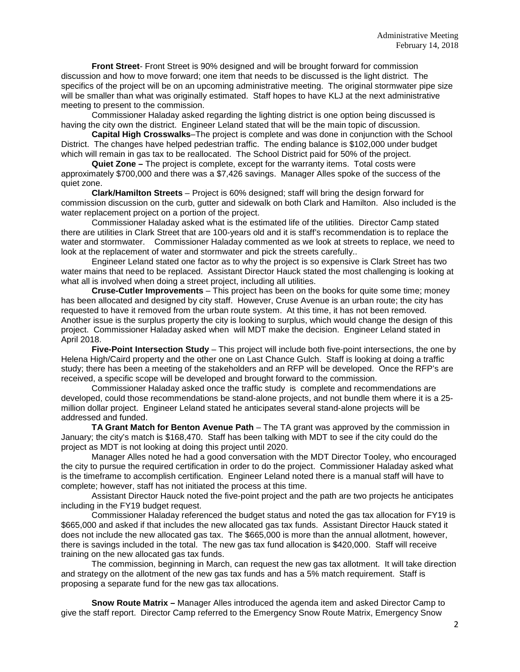**Front Street**- Front Street is 90% designed and will be brought forward for commission discussion and how to move forward; one item that needs to be discussed is the light district. The specifics of the project will be on an upcoming administrative meeting. The original stormwater pipe size will be smaller than what was originally estimated. Staff hopes to have KLJ at the next administrative meeting to present to the commission.

Commissioner Haladay asked regarding the lighting district is one option being discussed is having the city own the district. Engineer Leland stated that will be the main topic of discussion.

**Capital High Crosswalks**–The project is complete and was done in conjunction with the School District. The changes have helped pedestrian traffic. The ending balance is \$102,000 under budget which will remain in gas tax to be reallocated. The School District paid for 50% of the project.

**Quiet Zone –** The project is complete, except for the warranty items. Total costs were approximately \$700,000 and there was a \$7,426 savings. Manager Alles spoke of the success of the quiet zone.

**Clark/Hamilton Streets** – Project is 60% designed; staff will bring the design forward for commission discussion on the curb, gutter and sidewalk on both Clark and Hamilton. Also included is the water replacement project on a portion of the project.

Commissioner Haladay asked what is the estimated life of the utilities. Director Camp stated there are utilities in Clark Street that are 100-years old and it is staff's recommendation is to replace the water and stormwater. Commissioner Haladay commented as we look at streets to replace, we need to look at the replacement of water and stormwater and pick the streets carefully..

Engineer Leland stated one factor as to why the project is so expensive is Clark Street has two water mains that need to be replaced. Assistant Director Hauck stated the most challenging is looking at what all is involved when doing a street project, including all utilities.

**Cruse-Cutler Improvements** – This project has been on the books for quite some time; money has been allocated and designed by city staff. However, Cruse Avenue is an urban route; the city has requested to have it removed from the urban route system. At this time, it has not been removed. Another issue is the surplus property the city is looking to surplus, which would change the design of this project. Commissioner Haladay asked when will MDT make the decision. Engineer Leland stated in April 2018.

**Five-Point Intersection Study** – This project will include both five-point intersections, the one by Helena High/Caird property and the other one on Last Chance Gulch. Staff is looking at doing a traffic study; there has been a meeting of the stakeholders and an RFP will be developed. Once the RFP's are received, a specific scope will be developed and brought forward to the commission.

Commissioner Haladay asked once the traffic study is complete and recommendations are developed, could those recommendations be stand-alone projects, and not bundle them where it is a 25 million dollar project. Engineer Leland stated he anticipates several stand-alone projects will be addressed and funded.

**TA Grant Match for Benton Avenue Path** – The TA grant was approved by the commission in January; the city's match is \$168,470. Staff has been talking with MDT to see if the city could do the project as MDT is not looking at doing this project until 2020.

Manager Alles noted he had a good conversation with the MDT Director Tooley, who encouraged the city to pursue the required certification in order to do the project. Commissioner Haladay asked what is the timeframe to accomplish certification. Engineer Leland noted there is a manual staff will have to complete; however, staff has not initiated the process at this time.

Assistant Director Hauck noted the five-point project and the path are two projects he anticipates including in the FY19 budget request.

Commissioner Haladay referenced the budget status and noted the gas tax allocation for FY19 is \$665,000 and asked if that includes the new allocated gas tax funds. Assistant Director Hauck stated it does not include the new allocated gas tax. The \$665,000 is more than the annual allotment, however, there is savings included in the total. The new gas tax fund allocation is \$420,000. Staff will receive training on the new allocated gas tax funds.

The commission, beginning in March, can request the new gas tax allotment. It will take direction and strategy on the allotment of the new gas tax funds and has a 5% match requirement. Staff is proposing a separate fund for the new gas tax allocations.

**Snow Route Matrix –** Manager Alles introduced the agenda item and asked Director Camp to give the staff report. Director Camp referred to the Emergency Snow Route Matrix, Emergency Snow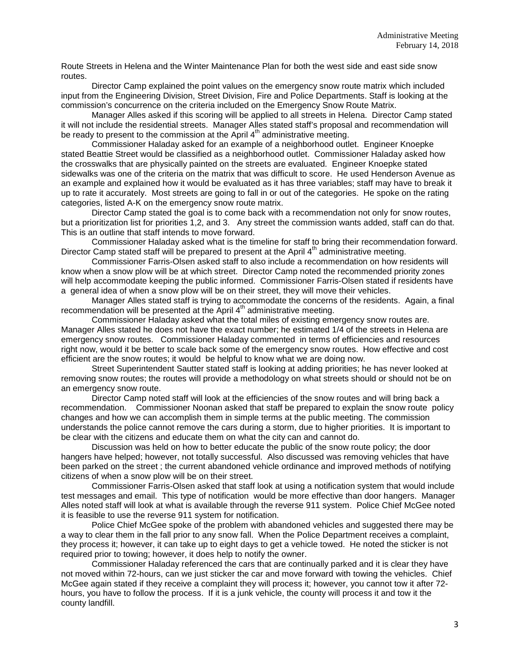Route Streets in Helena and the Winter Maintenance Plan for both the west side and east side snow routes.

Director Camp explained the point values on the emergency snow route matrix which included input from the Engineering Division, Street Division, Fire and Police Departments. Staff is looking at the commission's concurrence on the criteria included on the Emergency Snow Route Matrix.

Manager Alles asked if this scoring will be applied to all streets in Helena. Director Camp stated it will not include the residential streets. Manager Alles stated staff's proposal and recommendation will be ready to present to the commission at the April 4<sup>th</sup> administrative meeting.

Commissioner Haladay asked for an example of a neighborhood outlet. Engineer Knoepke stated Beattie Street would be classified as a neighborhood outlet. Commissioner Haladay asked how the crosswalks that are physically painted on the streets are evaluated. Engineer Knoepke stated sidewalks was one of the criteria on the matrix that was difficult to score. He used Henderson Avenue as an example and explained how it would be evaluated as it has three variables; staff may have to break it up to rate it accurately. Most streets are going to fall in or out of the categories. He spoke on the rating categories, listed A-K on the emergency snow route matrix.

Director Camp stated the goal is to come back with a recommendation not only for snow routes, but a prioritization list for priorities 1,2, and 3. Any street the commission wants added, staff can do that. This is an outline that staff intends to move forward.

Commissioner Haladay asked what is the timeline for staff to bring their recommendation forward. Director Camp stated staff will be prepared to present at the April  $4<sup>th</sup>$  administrative meeting.

Commissioner Farris-Olsen asked staff to also include a recommendation on how residents will know when a snow plow will be at which street. Director Camp noted the recommended priority zones will help accommodate keeping the public informed. Commissioner Farris-Olsen stated if residents have a general idea of when a snow plow will be on their street, they will move their vehicles.

Manager Alles stated staff is trying to accommodate the concerns of the residents. Again, a final recommendation will be presented at the April 4<sup>th</sup> administrative meeting.

Commissioner Haladay asked what the total miles of existing emergency snow routes are. Manager Alles stated he does not have the exact number; he estimated 1/4 of the streets in Helena are emergency snow routes. Commissioner Haladay commented in terms of efficiencies and resources right now, would it be better to scale back some of the emergency snow routes. How effective and cost efficient are the snow routes; it would be helpful to know what we are doing now.

Street Superintendent Sautter stated staff is looking at adding priorities; he has never looked at removing snow routes; the routes will provide a methodology on what streets should or should not be on an emergency snow route.

Director Camp noted staff will look at the efficiencies of the snow routes and will bring back a recommendation. Commissioner Noonan asked that staff be prepared to explain the snow route policy changes and how we can accomplish them in simple terms at the public meeting. The commission understands the police cannot remove the cars during a storm, due to higher priorities. It is important to be clear with the citizens and educate them on what the city can and cannot do.

Discussion was held on how to better educate the public of the snow route policy; the door hangers have helped; however, not totally successful. Also discussed was removing vehicles that have been parked on the street ; the current abandoned vehicle ordinance and improved methods of notifying citizens of when a snow plow will be on their street.

Commissioner Farris-Olsen asked that staff look at using a notification system that would include test messages and email. This type of notification would be more effective than door hangers. Manager Alles noted staff will look at what is available through the reverse 911 system. Police Chief McGee noted it is feasible to use the reverse 911 system for notification.

Police Chief McGee spoke of the problem with abandoned vehicles and suggested there may be a way to clear them in the fall prior to any snow fall. When the Police Department receives a complaint, they process it; however, it can take up to eight days to get a vehicle towed. He noted the sticker is not required prior to towing; however, it does help to notify the owner.

Commissioner Haladay referenced the cars that are continually parked and it is clear they have not moved within 72-hours, can we just sticker the car and move forward with towing the vehicles. Chief McGee again stated if they receive a complaint they will process it; however, you cannot tow it after 72 hours, you have to follow the process. If it is a junk vehicle, the county will process it and tow it the county landfill.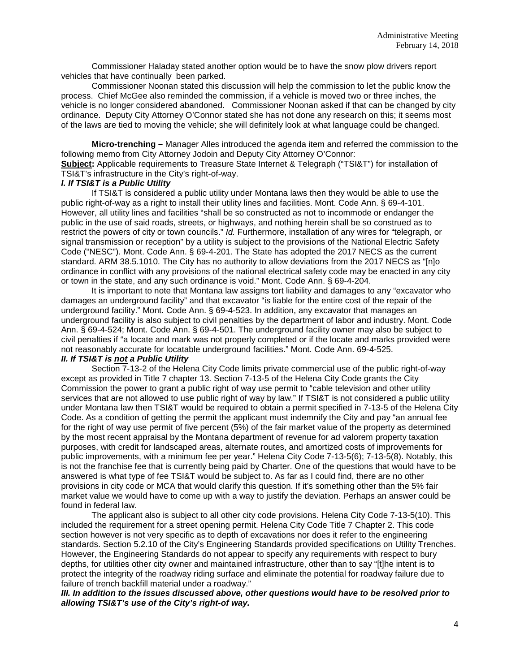Commissioner Haladay stated another option would be to have the snow plow drivers report vehicles that have continually been parked.

Commissioner Noonan stated this discussion will help the commission to let the public know the process. Chief McGee also reminded the commission, if a vehicle is moved two or three inches, the vehicle is no longer considered abandoned. Commissioner Noonan asked if that can be changed by city ordinance. Deputy City Attorney O'Connor stated she has not done any research on this; it seems most of the laws are tied to moving the vehicle; she will definitely look at what language could be changed.

**Micro-trenching –** Manager Alles introduced the agenda item and referred the commission to the following memo from City Attorney Jodoin and Deputy City Attorney O'Connor: **Subject:** Applicable requirements to Treasure State Internet & Telegraph ("TSI&T") for installation of TSI&T's infrastructure in the City's right-of-way.

#### *I. If TSI&T is a Public Utility*

If TSI&T is considered a public utility under Montana laws then they would be able to use the public right-of-way as a right to install their utility lines and facilities. Mont. Code Ann. § 69-4-101. However, all utility lines and facilities "shall be so constructed as not to incommode or endanger the public in the use of said roads, streets, or highways, and nothing herein shall be so construed as to restrict the powers of city or town councils." *Id.* Furthermore, installation of any wires for "telegraph, or signal transmission or reception" by a utility is subject to the provisions of the National Electric Safety Code ("NESC"). Mont. Code Ann. § 69-4-201. The State has adopted the 2017 NECS as the current standard. ARM 38.5.1010. The City has no authority to allow deviations from the 2017 NECS as "[n]o ordinance in conflict with any provisions of the national electrical safety code may be enacted in any city or town in the state, and any such ordinance is void." Mont. Code Ann. § 69-4-204.

It is important to note that Montana law assigns tort liability and damages to any "excavator who damages an underground facility" and that excavator "is liable for the entire cost of the repair of the underground facility." Mont. Code Ann. § 69-4-523. In addition, any excavator that manages an underground facility is also subject to civil penalties by the department of labor and industry. Mont. Code Ann. § 69-4-524; Mont. Code Ann. § 69-4-501. The underground facility owner may also be subject to civil penalties if "a locate and mark was not properly completed or if the locate and marks provided were not reasonably accurate for locatable underground facilities." Mont. Code Ann. 69-4-525.

### *II. If TSI&T is not a Public Utility*

Section 7-13-2 of the Helena City Code limits private commercial use of the public right-of-way except as provided in Title 7 chapter 13. Section 7-13-5 of the Helena City Code grants the City Commission the power to grant a public right of way use permit to "cable television and other utility services that are not allowed to use public right of way by law." If TSI&T is not considered a public utility under Montana law then TSI&T would be required to obtain a permit specified in 7-13-5 of the Helena City Code. As a condition of getting the permit the applicant must indemnify the City and pay "an annual fee for the right of way use permit of five percent (5%) of the fair market value of the property as determined by the most recent appraisal by the Montana department of revenue for ad valorem property taxation purposes, with credit for landscaped areas, alternate routes, and amortized costs of improvements for public improvements, with a minimum fee per year." Helena City Code 7-13-5(6); 7-13-5(8). Notably, this is not the franchise fee that is currently being paid by Charter. One of the questions that would have to be answered is what type of fee TSI&T would be subject to. As far as I could find, there are no other provisions in city code or MCA that would clarify this question. If it's something other than the 5% fair market value we would have to come up with a way to justify the deviation. Perhaps an answer could be found in federal law.

The applicant also is subject to all other city code provisions. Helena City Code 7-13-5(10). This included the requirement for a street opening permit. Helena City Code Title 7 Chapter 2. This code section however is not very specific as to depth of excavations nor does it refer to the engineering standards. Section 5.2.10 of the City's Engineering Standards provided specifications on Utility Trenches. However, the Engineering Standards do not appear to specify any requirements with respect to bury depths, for utilities other city owner and maintained infrastructure, other than to say "[t]he intent is to protect the integrity of the roadway riding surface and eliminate the potential for roadway failure due to failure of trench backfill material under a roadway."

*III. In addition to the issues discussed above, other questions would have to be resolved prior to allowing TSI&T's use of the City's right-of way.*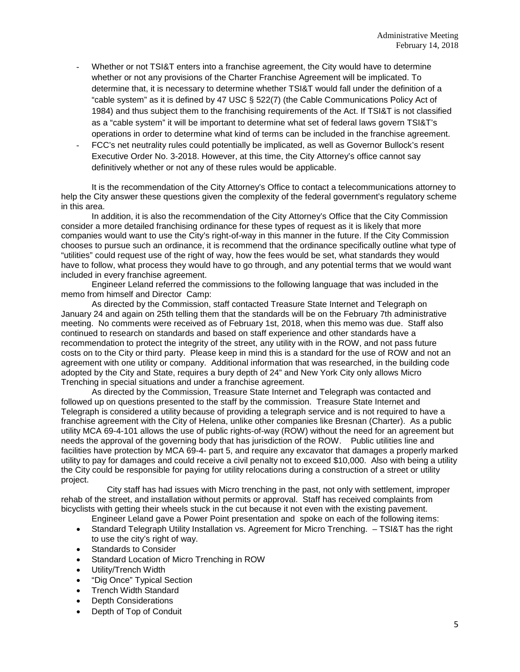- Whether or not TSI&T enters into a franchise agreement, the City would have to determine whether or not any provisions of the Charter Franchise Agreement will be implicated. To determine that, it is necessary to determine whether TSI&T would fall under the definition of a "cable system" as it is defined by 47 USC § 522(7) (the Cable Communications Policy Act of 1984) and thus subject them to the franchising requirements of the Act. If TSI&T is not classified as a "cable system" it will be important to determine what set of federal laws govern TSI&T's operations in order to determine what kind of terms can be included in the franchise agreement.
- FCC's net neutrality rules could potentially be implicated, as well as Governor Bullock's resent Executive Order No. 3-2018. However, at this time, the City Attorney's office cannot say definitively whether or not any of these rules would be applicable.

It is the recommendation of the City Attorney's Office to contact a telecommunications attorney to help the City answer these questions given the complexity of the federal government's regulatory scheme in this area.

In addition, it is also the recommendation of the City Attorney's Office that the City Commission consider a more detailed franchising ordinance for these types of request as it is likely that more companies would want to use the City's right-of-way in this manner in the future. If the City Commission chooses to pursue such an ordinance, it is recommend that the ordinance specifically outline what type of "utilities" could request use of the right of way, how the fees would be set, what standards they would have to follow, what process they would have to go through, and any potential terms that we would want included in every franchise agreement.

Engineer Leland referred the commissions to the following language that was included in the memo from himself and Director Camp:

As directed by the Commission, staff contacted Treasure State Internet and Telegraph on January 24 and again on 25th telling them that the standards will be on the February 7th administrative meeting. No comments were received as of February 1st, 2018, when this memo was due. Staff also continued to research on standards and based on staff experience and other standards have a recommendation to protect the integrity of the street, any utility with in the ROW, and not pass future costs on to the City or third party. Please keep in mind this is a standard for the use of ROW and not an agreement with one utility or company. Additional information that was researched, in the building code adopted by the City and State, requires a bury depth of 24" and New York City only allows Micro Trenching in special situations and under a franchise agreement.

As directed by the Commission, Treasure State Internet and Telegraph was contacted and followed up on questions presented to the staff by the commission. Treasure State Internet and Telegraph is considered a utility because of providing a telegraph service and is not required to have a franchise agreement with the City of Helena, unlike other companies like Bresnan (Charter). As a public utility MCA 69-4-101 allows the use of public rights-of-way (ROW) without the need for an agreement but needs the approval of the governing body that has jurisdiction of the ROW. Public utilities line and facilities have protection by MCA 69-4- part 5, and require any excavator that damages a properly marked utility to pay for damages and could receive a civil penalty not to exceed \$10,000. Also with being a utility the City could be responsible for paying for utility relocations during a construction of a street or utility project.

City staff has had issues with Micro trenching in the past, not only with settlement, improper rehab of the street, and installation without permits or approval. Staff has received complaints from bicyclists with getting their wheels stuck in the cut because it not even with the existing pavement.

Engineer Leland gave a Power Point presentation and spoke on each of the following items:

- Standard Telegraph Utility Installation vs. Agreement for Micro Trenching. TSI&T has the right to use the city's right of way.
- Standards to Consider
- Standard Location of Micro Trenching in ROW
- Utility/Trench Width
- "Dig Once" Typical Section
- Trench Width Standard
- Depth Considerations
- Depth of Top of Conduit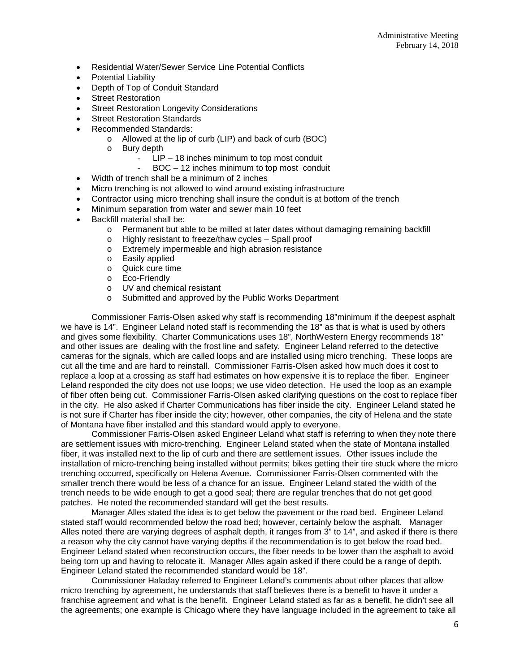- Residential Water/Sewer Service Line Potential Conflicts
- Potential Liability
- Depth of Top of Conduit Standard
- **Street Restoration**
- Street Restoration Longevity Considerations
- **Street Restoration Standards**
- Recommended Standards:
	- o Allowed at the lip of curb (LIP) and back of curb (BOC)
	- o Bury depth
		- $LIP 18$  inches minimum to top most conduit
		- BOC 12 inches minimum to top most conduit
- Width of trench shall be a minimum of 2 inches
- Micro trenching is not allowed to wind around existing infrastructure
- Contractor using micro trenching shall insure the conduit is at bottom of the trench
- Minimum separation from water and sewer main 10 feet
- Backfill material shall be:
	- o Permanent but able to be milled at later dates without damaging remaining backfill o Highly resistant to freeze/thaw cycles Spall proof
	- o Highly resistant to freeze/thaw cycles Spall proof<br>
	o Extremely impermeable and high abrasion resistane
	- Extremely impermeable and high abrasion resistance
	- o Easily applied
	- o Quick cure time
	- o Eco-Friendly
	- o UV and chemical resistant
	- o Submitted and approved by the Public Works Department

Commissioner Farris-Olsen asked why staff is recommending 18"minimum if the deepest asphalt we have is 14". Engineer Leland noted staff is recommending the 18" as that is what is used by others and gives some flexibility. Charter Communications uses 18", NorthWestern Energy recommends 18" and other issues are dealing with the frost line and safety. Engineer Leland referred to the detective cameras for the signals, which are called loops and are installed using micro trenching. These loops are cut all the time and are hard to reinstall. Commissioner Farris-Olsen asked how much does it cost to replace a loop at a crossing as staff had estimates on how expensive it is to replace the fiber. Engineer Leland responded the city does not use loops; we use video detection. He used the loop as an example of fiber often being cut. Commissioner Farris-Olsen asked clarifying questions on the cost to replace fiber in the city. He also asked if Charter Communications has fiber inside the city. Engineer Leland stated he is not sure if Charter has fiber inside the city; however, other companies, the city of Helena and the state of Montana have fiber installed and this standard would apply to everyone.

Commissioner Farris-Olsen asked Engineer Leland what staff is referring to when they note there are settlement issues with micro-trenching. Engineer Leland stated when the state of Montana installed fiber, it was installed next to the lip of curb and there are settlement issues. Other issues include the installation of micro-trenching being installed without permits; bikes getting their tire stuck where the micro trenching occurred, specifically on Helena Avenue. Commissioner Farris-Olsen commented with the smaller trench there would be less of a chance for an issue. Engineer Leland stated the width of the trench needs to be wide enough to get a good seal; there are regular trenches that do not get good patches. He noted the recommended standard will get the best results.

Manager Alles stated the idea is to get below the pavement or the road bed. Engineer Leland stated staff would recommended below the road bed; however, certainly below the asphalt. Manager Alles noted there are varying degrees of asphalt depth, it ranges from 3" to 14", and asked if there is there a reason why the city cannot have varying depths if the recommendation is to get below the road bed. Engineer Leland stated when reconstruction occurs, the fiber needs to be lower than the asphalt to avoid being torn up and having to relocate it. Manager Alles again asked if there could be a range of depth. Engineer Leland stated the recommended standard would be 18".

Commissioner Haladay referred to Engineer Leland's comments about other places that allow micro trenching by agreement, he understands that staff believes there is a benefit to have it under a franchise agreement and what is the benefit. Engineer Leland stated as far as a benefit, he didn't see all the agreements; one example is Chicago where they have language included in the agreement to take all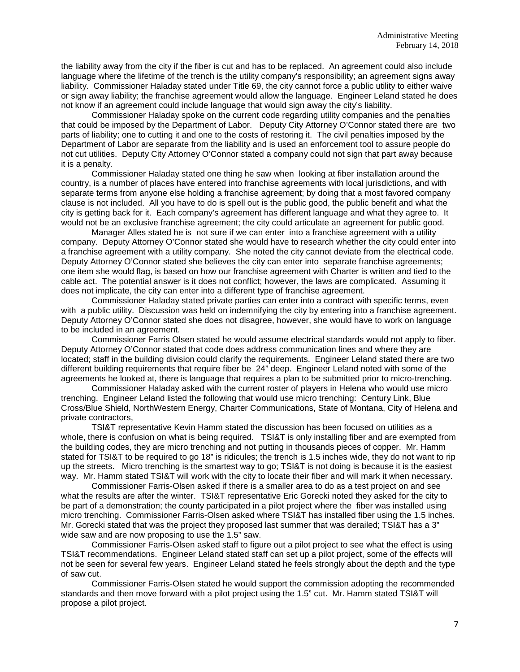the liability away from the city if the fiber is cut and has to be replaced. An agreement could also include language where the lifetime of the trench is the utility company's responsibility; an agreement signs away liability. Commissioner Haladay stated under Title 69, the city cannot force a public utility to either waive or sign away liability; the franchise agreement would allow the language. Engineer Leland stated he does not know if an agreement could include language that would sign away the city's liability.

Commissioner Haladay spoke on the current code regarding utility companies and the penalties that could be imposed by the Department of Labor. Deputy City Attorney O'Connor stated there are two parts of liability; one to cutting it and one to the costs of restoring it. The civil penalties imposed by the Department of Labor are separate from the liability and is used an enforcement tool to assure people do not cut utilities. Deputy City Attorney O'Connor stated a company could not sign that part away because it is a penalty.

Commissioner Haladay stated one thing he saw when looking at fiber installation around the country, is a number of places have entered into franchise agreements with local jurisdictions, and with separate terms from anyone else holding a franchise agreement; by doing that a most favored company clause is not included. All you have to do is spell out is the public good, the public benefit and what the city is getting back for it. Each company's agreement has different language and what they agree to. It would not be an exclusive franchise agreement; the city could articulate an agreement for public good.

Manager Alles stated he is not sure if we can enter into a franchise agreement with a utility company. Deputy Attorney O'Connor stated she would have to research whether the city could enter into a franchise agreement with a utility company. She noted the city cannot deviate from the electrical code. Deputy Attorney O'Connor stated she believes the city can enter into separate franchise agreements; one item she would flag, is based on how our franchise agreement with Charter is written and tied to the cable act. The potential answer is it does not conflict; however, the laws are complicated. Assuming it does not implicate, the city can enter into a different type of franchise agreement.

Commissioner Haladay stated private parties can enter into a contract with specific terms, even with a public utility. Discussion was held on indemnifying the city by entering into a franchise agreement. Deputy Attorney O'Connor stated she does not disagree, however, she would have to work on language to be included in an agreement.

Commissioner Farris Olsen stated he would assume electrical standards would not apply to fiber. Deputy Attorney O'Connor stated that code does address communication lines and where they are located; staff in the building division could clarify the requirements. Engineer Leland stated there are two different building requirements that require fiber be 24" deep. Engineer Leland noted with some of the agreements he looked at, there is language that requires a plan to be submitted prior to micro-trenching.

Commissioner Haladay asked with the current roster of players in Helena who would use micro trenching. Engineer Leland listed the following that would use micro trenching: Century Link, Blue Cross/Blue Shield, NorthWestern Energy, Charter Communications, State of Montana, City of Helena and private contractors,

TSI&T representative Kevin Hamm stated the discussion has been focused on utilities as a whole, there is confusion on what is being required. TSI&T is only installing fiber and are exempted from the building codes, they are micro trenching and not putting in thousands pieces of copper. Mr. Hamm stated for TSI&T to be required to go 18" is ridicules; the trench is 1.5 inches wide, they do not want to rip up the streets. Micro trenching is the smartest way to go; TSI&T is not doing is because it is the easiest way. Mr. Hamm stated TSI&T will work with the city to locate their fiber and will mark it when necessary.

Commissioner Farris-Olsen asked if there is a smaller area to do as a test project on and see what the results are after the winter. TSI&T representative Eric Gorecki noted they asked for the city to be part of a demonstration; the county participated in a pilot project where the fiber was installed using micro trenching. Commissioner Farris-Olsen asked where TSI&T has installed fiber using the 1.5 inches. Mr. Gorecki stated that was the project they proposed last summer that was derailed; TSI&T has a 3" wide saw and are now proposing to use the 1.5" saw.

Commissioner Farris-Olsen asked staff to figure out a pilot project to see what the effect is using TSI&T recommendations. Engineer Leland stated staff can set up a pilot project, some of the effects will not be seen for several few years. Engineer Leland stated he feels strongly about the depth and the type of saw cut.

Commissioner Farris-Olsen stated he would support the commission adopting the recommended standards and then move forward with a pilot project using the 1.5" cut. Mr. Hamm stated TSI&T will propose a pilot project.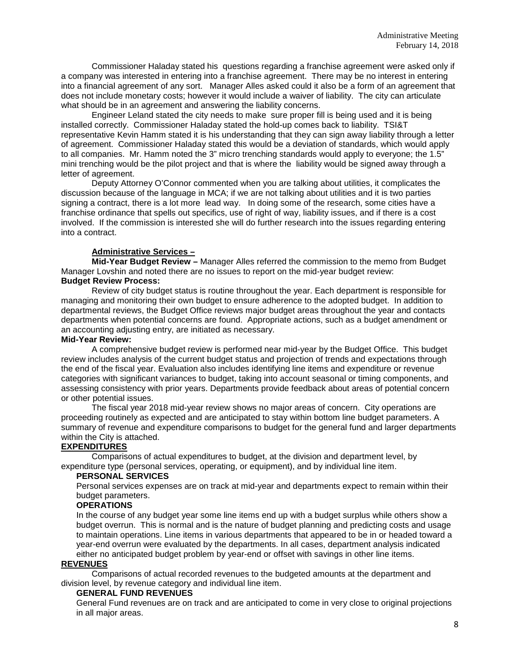Commissioner Haladay stated his questions regarding a franchise agreement were asked only if a company was interested in entering into a franchise agreement. There may be no interest in entering into a financial agreement of any sort. Manager Alles asked could it also be a form of an agreement that does not include monetary costs; however it would include a waiver of liability. The city can articulate what should be in an agreement and answering the liability concerns.

Engineer Leland stated the city needs to make sure proper fill is being used and it is being installed correctly. Commissioner Haladay stated the hold-up comes back to liability. TSI&T representative Kevin Hamm stated it is his understanding that they can sign away liability through a letter of agreement. Commissioner Haladay stated this would be a deviation of standards, which would apply to all companies. Mr. Hamm noted the 3" micro trenching standards would apply to everyone; the 1.5" mini trenching would be the pilot project and that is where the liability would be signed away through a letter of agreement.

Deputy Attorney O'Connor commented when you are talking about utilities, it complicates the discussion because of the language in MCA; if we are not talking about utilities and it is two parties signing a contract, there is a lot more lead way. In doing some of the research, some cities have a franchise ordinance that spells out specifics, use of right of way, liability issues, and if there is a cost involved. If the commission is interested she will do further research into the issues regarding entering into a contract.

# **Administrative Services –**

**Mid-Year Budget Review –** Manager Alles referred the commission to the memo from Budget Manager Lovshin and noted there are no issues to report on the mid-year budget review: **Budget Review Process:**

Review of city budget status is routine throughout the year. Each department is responsible for managing and monitoring their own budget to ensure adherence to the adopted budget. In addition to departmental reviews, the Budget Office reviews major budget areas throughout the year and contacts departments when potential concerns are found. Appropriate actions, such as a budget amendment or an accounting adjusting entry, are initiated as necessary.

#### **Mid-Year Review:**

A comprehensive budget review is performed near mid-year by the Budget Office. This budget review includes analysis of the current budget status and projection of trends and expectations through the end of the fiscal year. Evaluation also includes identifying line items and expenditure or revenue categories with significant variances to budget, taking into account seasonal or timing components, and assessing consistency with prior years. Departments provide feedback about areas of potential concern or other potential issues.

The fiscal year 2018 mid-year review shows no major areas of concern. City operations are proceeding routinely as expected and are anticipated to stay within bottom line budget parameters. A summary of revenue and expenditure comparisons to budget for the general fund and larger departments within the City is attached.

### **EXPENDITURES**

Comparisons of actual expenditures to budget, at the division and department level, by expenditure type (personal services, operating, or equipment), and by individual line item.

### **PERSONAL SERVICES**

Personal services expenses are on track at mid-year and departments expect to remain within their budget parameters.

# **OPERATIONS**

In the course of any budget year some line items end up with a budget surplus while others show a budget overrun. This is normal and is the nature of budget planning and predicting costs and usage to maintain operations. Line items in various departments that appeared to be in or headed toward a year-end overrun were evaluated by the departments. In all cases, department analysis indicated either no anticipated budget problem by year-end or offset with savings in other line items.

### **REVENUES**

Comparisons of actual recorded revenues to the budgeted amounts at the department and division level, by revenue category and individual line item.

### **GENERAL FUND REVENUES**

General Fund revenues are on track and are anticipated to come in very close to original projections in all major areas.